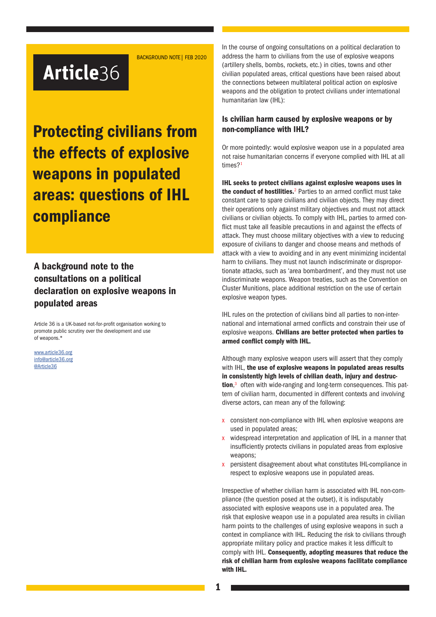BACKGROUND NOTE| FEB 2020

# Article36

Protecting civilians from the effects of explosive weapons in populated areas: questions of IHL compliance

A background note to the consultations on a political declaration on explosive weapons in populated areas

Article 36 is a UK-based not-for-profit organisation working to promote public scrutiny over the development and use of weapons.\*

www.article36.org info@article36.org @Article36

In the course of ongoing consultations on a political declaration to address the harm to civilians from the use of explosive weapons (artillery shells, bombs, rockets, etc.) in cities, towns and other civilian populated areas, critical questions have been raised about the connections between multilateral political action on explosive weapons and the obligation to protect civilians under international humanitarian law (IHL):

## Is civilian harm caused by explosive weapons or by non-compliance with IHL?

Or more pointedly: would explosive weapon use in a populated area not raise humanitarian concerns if everyone complied with IHL at all times?<sup>1</sup>

IHL seeks to protect civilians against explosive weapons uses in the conduct of hostilities.<sup>2</sup> Parties to an armed conflict must take constant care to spare civilians and civilian objects. They may direct their operations only against military objectives and must not attack civilians or civilian objects. To comply with IHL, parties to armed conflict must take all feasible precautions in and against the effects of attack. They must choose military objectives with a view to reducing exposure of civilians to danger and choose means and methods of attack with a view to avoiding and in any event minimizing incidental harm to civilians. They must not launch indiscriminate or disproportionate attacks, such as 'area bombardment', and they must not use indiscriminate weapons. Weapon treaties, such as the Convention on Cluster Munitions, place additional restriction on the use of certain explosive weapon types.

IHL rules on the protection of civilians bind all parties to non-international and international armed conflicts and constrain their use of explosive weapons. Civilians are better protected when parties to armed conflict comply with IHL.

Although many explosive weapon users will assert that they comply with IHL, the use of explosive weapons in populated areas results in consistently high levels of civilian death, injury and destruction,<sup>3</sup> often with wide-ranging and long-term consequences. This pattern of civilian harm, documented in different contexts and involving diverse actors, can mean any of the following:

- x consistent non-compliance with IHL when explosive weapons are used in populated areas;
- widespread interpretation and application of IHL in a manner that insufficiently protects civilians in populated areas from explosive weapons;
- x persistent disagreement about what constitutes IHL-compliance in respect to explosive weapons use in populated areas.

Irrespective of whether civilian harm is associated with IHL non-compliance (the question posed at the outset), it is indisputably associated with explosive weapons use in a populated area. The risk that explosive weapon use in a populated area results in civilian harm points to the challenges of using explosive weapons in such a context in compliance with IHL. Reducing the risk to civilians through appropriate military policy and practice makes it less difficult to comply with IHL. Consequently, adopting measures that reduce the risk of civilian harm from explosive weapons facilitate compliance with IHL.